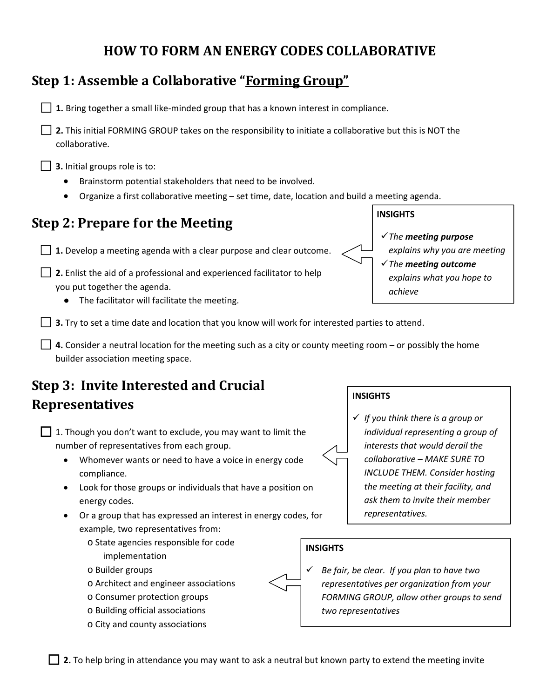### **HOW TO FORM AN ENERGY CODES COLLABORATIVE**

### **Step 1: Assemble a Collaborative "Forming Group"**

□ 1. Bring together a small like-minded group that has a known interest in compliance.

⃞ **2.** This initial FORMING GROUP takes on the responsibility to initiate a collaborative but this is NOT the collaborative.

**3.** Initial groups role is to:

- Brainstorm potential stakeholders that need to be involved.
- Organize a first collaborative meeting set time, date, location and build a meeting agenda.

### **Step 2: Prepare for the Meeting**

**1.** Develop a meeting agenda with a clear purpose and clear outcome.

- **2.** Enlist the aid of a professional and experienced facilitator to help you put together the agenda.
	- The facilitator will facilitate the meeting.

**B** 3. Try to set a time date and location that you know will work for interested parties to attend.

**□ 4.** Consider a neutral location for the meeting such as a city or county meeting room – or possibly the home builder association meeting space.

# **Step 3: Invite Interested and Crucial Representatives**

| $\Box$ 1. Though you don't want to exclude, you may want to limit the |
|-----------------------------------------------------------------------|
| number of representatives from each group.                            |

- Whomever wants or need to have a voice in energy code compliance.
- Look for those groups or individuals that have a position on energy codes.
- Or a group that has expressed an interest in energy codes, for example, two representatives from:
	- o State agencies responsible for code implementation
	- o Builder groups
	- o Architect and engineer associations
	- o Consumer protection groups
	- o Building official associations
	- o City and county associations

**INSIGHTS**

 *Be fair, be clear. If you plan to have two representatives per organization from your FORMING GROUP, allow other groups to send two representatives*

### **INSIGHTS**

 *If you think there is a group or individual representing a group of interests that would derail the collaborative – MAKE SURE TO INCLUDE THEM. Consider hosting the meeting at their facility, and ask them to invite their member representatives.*

# **INSIGHTS**

*achieve*

*The meeting purpose*

*The meeting outcome*

*explains why you are meeting*

*explains what you hope to*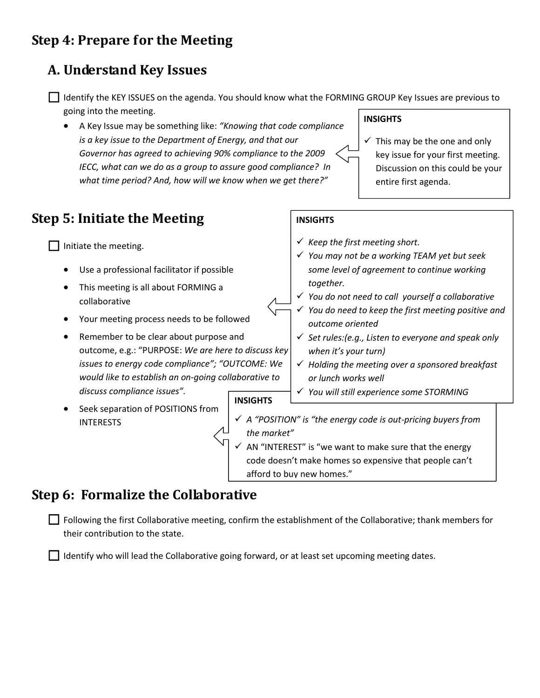## **Step 4: Prepare for the Meeting**

### **A. Understand Key Issues**

⃞ Identify the KEY ISSUES on the agenda. You should know what the FORMING GROUP Key Issues are previous to going into the meeting.

• A Key Issue may be something like: *"Knowing that code compliance is a key issue to the Department of Energy, and that our Governor has agreed to achieving 90% compliance to the 2009 IECC, what can we do as a group to assure good compliance? In what time period? And, how will we know when we get there?"*

### **Step 5: Initiate the Meeting**

 $\Box$  Initiate the meeting.

- Use a professional facilitator if possible
- This meeting is all about FORMING a collaborative
- Your meeting process needs to be followed
- Remember to be clear about purpose and outcome, e.g.: "PURPOSE: *We are here to discuss key issues to energy code compliance"; "OUTCOME: We would like to establish an on-going collaborative to discuss compliance issues".*

### **INSIGHTS**

 $\checkmark$  This may be the one and only key issue for your first meeting. Discussion on this could be your entire first agenda.

### **INSIGHTS**

- *Keep the first meeting short.*
- *You may not be a working TEAM yet but seek some level of agreement to continue working together.*
- *You do not need to call yourself a collaborative*
- *You do need to keep the first meeting positive and outcome oriented*
- *Set rules:(e.g., Listen to everyone and speak only when it's your turn)*
- *Holding the meeting over a sponsored breakfast or lunch works well*
- *You will still experience some STORMING*

#### **INSIGHTS**

- Seek separation of POSITIONS from INTERESTS
- *A "POSITION" is "the energy code is out-pricing buyers from the market"*  $\alpha$  AN "INTEREST" is "we want to make sure that the energy code doesn't make homes so expensive that people can't afford to buy new homes."

### **Step 6: Formalize the Collaborative**

□ Following the first Collaborative meeting, confirm the establishment of the Collaborative; thank members for their contribution to the state.

⃞ Identify who will lead the Collaborative going forward, or at least set upcoming meeting dates.